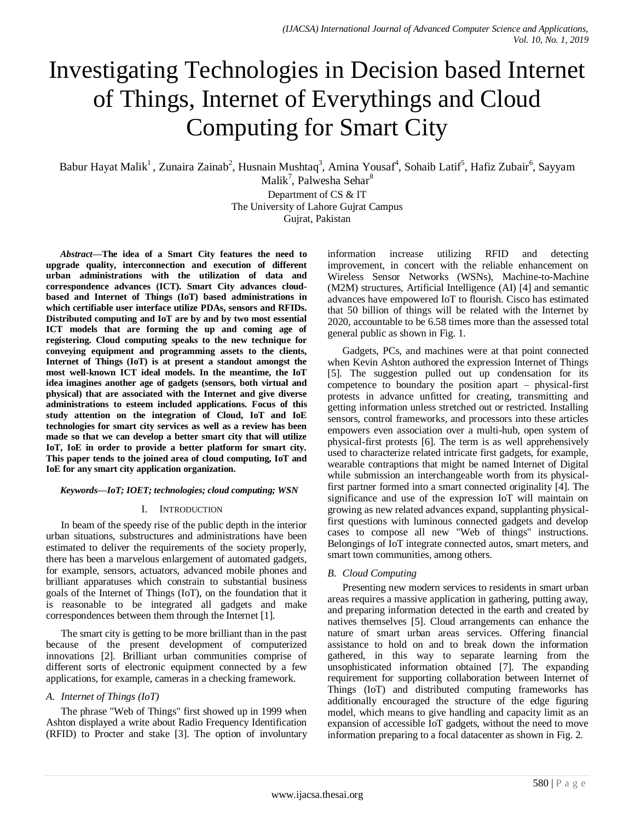# Investigating Technologies in Decision based Internet of Things, Internet of Everythings and Cloud Computing for Smart City

Babur Hayat Malik<sup>1</sup>, Zunaira Zainab<sup>2</sup>, Husnain Mushtaq<sup>3</sup>, Amina Yousaf<sup>4</sup>, Sohaib Latif<sup>5</sup>, Hafiz Zubair<sup>6</sup>, Sayyam Malik<sup>7</sup>, Palwesha Sehar<sup>8</sup>

Department of CS & IT

The University of Lahore Gujrat Campus

Gujrat, Pakistan

*Abstract***—The idea of a Smart City features the need to upgrade quality, interconnection and execution of different urban administrations with the utilization of data and correspondence advances (ICT). Smart City advances cloudbased and Internet of Things (IoT) based administrations in which certifiable user interface utilize PDAs, sensors and RFIDs. Distributed computing and IoT are by and by two most essential ICT models that are forming the up and coming age of registering. Cloud computing speaks to the new technique for conveying equipment and programming assets to the clients, Internet of Things (IoT) is at present a standout amongst the most well-known ICT ideal models. In the meantime, the IoT idea imagines another age of gadgets (sensors, both virtual and physical) that are associated with the Internet and give diverse administrations to esteem included applications. Focus of this study attention on the integration of Cloud, IoT and IoE technologies for smart city services as well as a review has been made so that we can develop a better smart city that will utilize IoT, IoE in order to provide a better platform for smart city. This paper tends to the joined area of cloud computing, IoT and IoE for any smart city application organization.**

## *Keywords—IoT; IOET; technologies; cloud computing; WSN*

# I. INTRODUCTION

In beam of the speedy rise of the public depth in the interior urban situations, substructures and administrations have been estimated to deliver the requirements of the society properly, there has been a marvelous enlargement of automated gadgets, for example, sensors, actuators, advanced mobile phones and brilliant apparatuses which constrain to substantial business goals of the Internet of Things (IoT), on the foundation that it is reasonable to be integrated all gadgets and make correspondences between them through the Internet [1].

The smart city is getting to be more brilliant than in the past because of the present development of computerized innovations [2]. Brilliant urban communities comprise of different sorts of electronic equipment connected by a few applications, for example, cameras in a checking framework.

# *A. Internet of Things (IoT)*

The phrase "Web of Things" first showed up in 1999 when Ashton displayed a write about Radio Frequency Identification (RFID) to Procter and stake [3]. The option of involuntary information increase utilizing RFID and detecting improvement, in concert with the reliable enhancement on Wireless Sensor Networks (WSNs), Machine-to-Machine (M2M) structures, Artificial Intelligence (AI) [4] and semantic advances have empowered IoT to flourish. Cisco has estimated that 50 billion of things will be related with the Internet by 2020, accountable to be 6.58 times more than the assessed total general public as shown in Fig. 1.

Gadgets, PCs, and machines were at that point connected when Kevin Ashton authored the expression Internet of Things [5]. The suggestion pulled out up condensation for its competence to boundary the position apart – physical-first protests in advance unfitted for creating, transmitting and getting information unless stretched out or restricted. Installing sensors, control frameworks, and processors into these articles empowers even association over a multi-hub, open system of physical-first protests [6]. The term is as well apprehensively used to characterize related intricate first gadgets, for example, wearable contraptions that might be named Internet of Digital while submission an interchangeable worth from its physicalfirst partner formed into a smart connected originality [4]. The significance and use of the expression IoT will maintain on growing as new related advances expand, supplanting physicalfirst questions with luminous connected gadgets and develop cases to compose all new "Web of things" instructions. Belongings of IoT integrate connected autos, smart meters, and smart town communities, among others.

# *B. Cloud Computing*

Presenting new modern services to residents in smart urban areas requires a massive application in gathering, putting away, and preparing information detected in the earth and created by natives themselves [5]. Cloud arrangements can enhance the nature of smart urban areas services. Offering financial assistance to hold on and to break down the information gathered, in this way to separate learning from the unsophisticated information obtained [7]. The expanding requirement for supporting collaboration between Internet of Things (IoT) and distributed computing frameworks has additionally encouraged the structure of the edge figuring model, which means to give handling and capacity limit as an expansion of accessible IoT gadgets, without the need to move information preparing to a focal datacenter as shown in Fig. 2.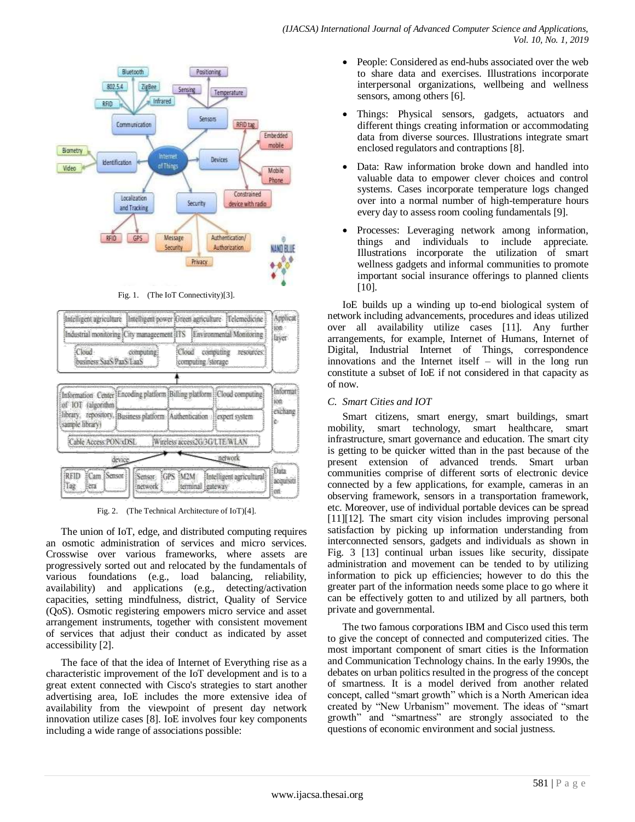

Fig. 1. (The IoT Connectivity)[3].



Fig. 2. (The Technical Architecture of IoT)[4].

The union of IoT, edge, and distributed computing requires an osmotic administration of services and micro services. Crosswise over various frameworks, where assets are progressively sorted out and relocated by the fundamentals of various foundations (e.g., load balancing, reliability, availability) and applications (e.g., detecting/activation capacities, setting mindfulness, district, Quality of Service (QoS). Osmotic registering empowers micro service and asset arrangement instruments, together with consistent movement of services that adjust their conduct as indicated by asset accessibility [2].

The face of that the idea of Internet of Everything rise as a characteristic improvement of the IoT development and is to a great extent connected with Cisco's strategies to start another advertising area, IoE includes the more extensive idea of availability from the viewpoint of present day network innovation utilize cases [8]. IoE involves four key components including a wide range of associations possible:

- People: Considered as end-hubs associated over the web to share data and exercises. Illustrations incorporate interpersonal organizations, wellbeing and wellness sensors, among others [6].
- Things: Physical sensors, gadgets, actuators and different things creating information or accommodating data from diverse sources. Illustrations integrate smart enclosed regulators and contraptions [8].
- Data: Raw information broke down and handled into valuable data to empower clever choices and control systems. Cases incorporate temperature logs changed over into a normal number of high-temperature hours every day to assess room cooling fundamentals [9].
- Processes: Leveraging network among information, things and individuals to include appreciate. Illustrations incorporate the utilization of smart wellness gadgets and informal communities to promote important social insurance offerings to planned clients [10].

IoE builds up a winding up to-end biological system of network including advancements, procedures and ideas utilized over all availability utilize cases [11]. Any further arrangements, for example, Internet of Humans, Internet of Digital, Industrial Internet of Things, correspondence innovations and the Internet itself – will in the long run constitute a subset of IoE if not considered in that capacity as of now.

# *C. Smart Cities and IOT*

Smart citizens, smart energy, smart buildings, smart mobility, smart technology, smart healthcare, smart infrastructure, smart governance and education. The smart city is getting to be quicker witted than in the past because of the present extension of advanced trends. Smart urban communities comprise of different sorts of electronic device connected by a few applications, for example, cameras in an observing framework, sensors in a transportation framework, etc. Moreover, use of individual portable devices can be spread [11][12]. The smart city vision includes improving personal satisfaction by picking up information understanding from interconnected sensors, gadgets and individuals as shown in Fig. 3 [13] continual urban issues like security, dissipate administration and movement can be tended to by utilizing information to pick up efficiencies; however to do this the greater part of the information needs some place to go where it can be effectively gotten to and utilized by all partners, both private and governmental.

The two famous corporations IBM and Cisco used this term to give the concept of connected and computerized cities. The most important component of smart cities is the Information and Communication Technology chains. In the early 1990s, the debates on urban politics resulted in the progress of the concept of smartness. It is a model derived from another related concept, called "smart growth" which is a North American idea created by "New Urbanism" movement. The ideas of "smart growth" and "smartness" are strongly associated to the questions of economic environment and social justness.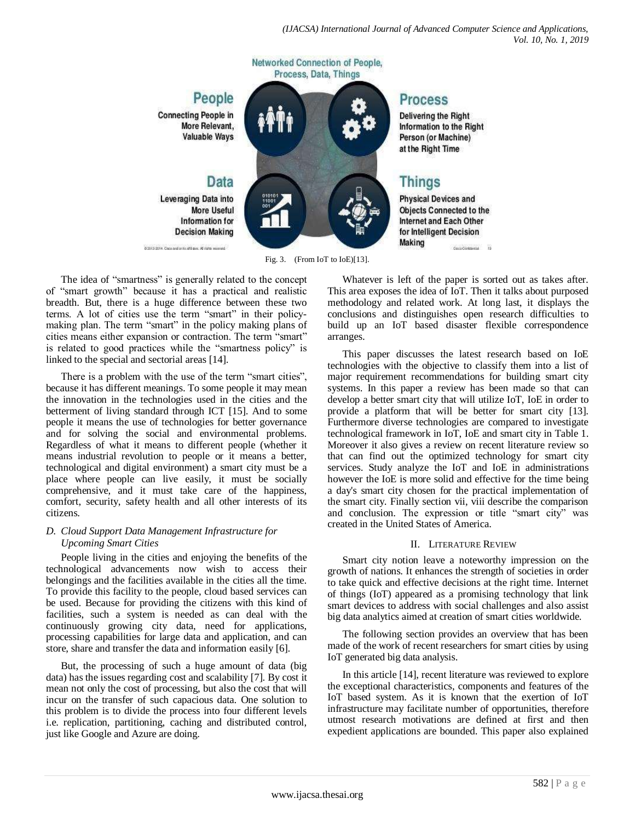

The idea of "smartness" is generally related to the concept of "smart growth" because it has a practical and realistic breadth. But, there is a huge difference between these two terms. A lot of cities use the term "smart" in their policymaking plan. The term "smart" in the policy making plans of cities means either expansion or contraction. The term "smart" is related to good practices while the "smartness policy" is linked to the special and sectorial areas [14].

There is a problem with the use of the term "smart cities", because it has different meanings. To some people it may mean the innovation in the technologies used in the cities and the betterment of living standard through ICT [15]. And to some people it means the use of technologies for better governance and for solving the social and environmental problems. Regardless of what it means to different people (whether it means industrial revolution to people or it means a better, technological and digital environment) a smart city must be a place where people can live easily, it must be socially comprehensive, and it must take care of the happiness, comfort, security, safety health and all other interests of its citizens.

# *D. Cloud Support Data Management Infrastructure for Upcoming Smart Cities*

People living in the cities and enjoying the benefits of the technological advancements now wish to access their belongings and the facilities available in the cities all the time. To provide this facility to the people, cloud based services can be used. Because for providing the citizens with this kind of facilities, such a system is needed as can deal with the continuously growing city data, need for applications, processing capabilities for large data and application, and can store, share and transfer the data and information easily [6].

But, the processing of such a huge amount of data (big data) has the issues regarding cost and scalability [7]. By cost it mean not only the cost of processing, but also the cost that will incur on the transfer of such capacious data. One solution to this problem is to divide the process into four different levels i.e. replication, partitioning, caching and distributed control, just like Google and Azure are doing.

Whatever is left of the paper is sorted out as takes after. This area exposes the idea of IoT. Then it talks about purposed methodology and related work. At long last, it displays the conclusions and distinguishes open research difficulties to build up an IoT based disaster flexible correspondence arranges.

This paper discusses the latest research based on IoE technologies with the objective to classify them into a list of major requirement recommendations for building smart city systems. In this paper a review has been made so that can develop a better smart city that will utilize IoT, IoE in order to provide a platform that will be better for smart city [13]. Furthermore diverse technologies are compared to investigate technological framework in IoT, IoE and smart city in Table 1. Moreover it also gives a review on recent literature review so that can find out the optimized technology for smart city services. Study analyze the IoT and IoE in administrations however the IoE is more solid and effective for the time being a day's smart city chosen for the practical implementation of the smart city. Finally section vii, viii describe the comparison and conclusion. The expression or title "smart city" was created in the United States of America.

# II. LITERATURE REVIEW

Smart city notion leave a noteworthy impression on the growth of nations. It enhances the strength of societies in order to take quick and effective decisions at the right time. Internet of things (IoT) appeared as a promising technology that link smart devices to address with social challenges and also assist big data analytics aimed at creation of smart cities worldwide.

The following section provides an overview that has been made of the work of recent researchers for smart cities by using IoT generated big data analysis.

In this article [14], recent literature was reviewed to explore the exceptional characteristics, components and features of the IoT based system. As it is known that the exertion of IoT infrastructure may facilitate number of opportunities, therefore utmost research motivations are defined at first and then expedient applications are bounded. This paper also explained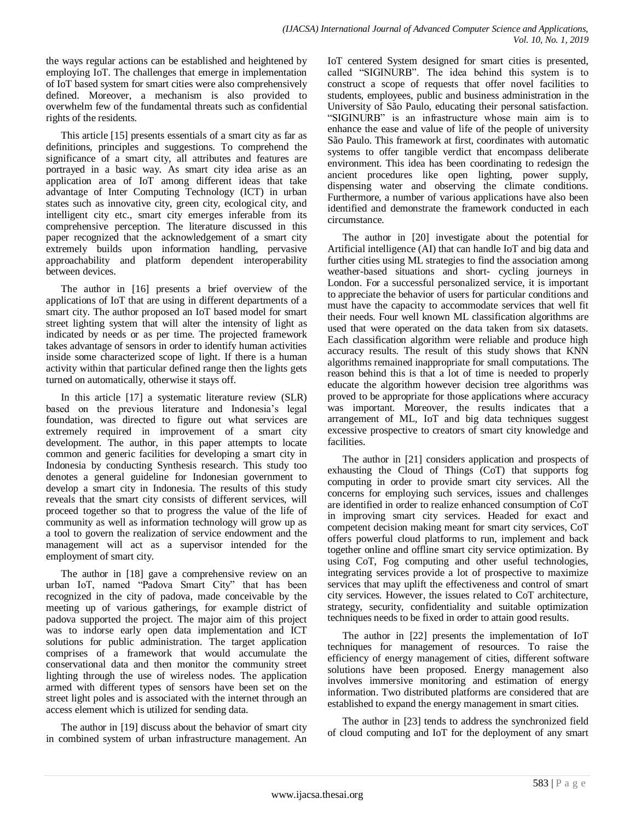the ways regular actions can be established and heightened by employing IoT. The challenges that emerge in implementation of IoT based system for smart cities were also comprehensively defined. Moreover, a mechanism is also provided to overwhelm few of the fundamental threats such as confidential rights of the residents.

This article [15] presents essentials of a smart city as far as definitions, principles and suggestions. To comprehend the significance of a smart city, all attributes and features are portrayed in a basic way. As smart city idea arise as an application area of IoT among different ideas that take advantage of Inter Computing Technology (ICT) in urban states such as innovative city, green city, ecological city, and intelligent city etc., smart city emerges inferable from its comprehensive perception. The literature discussed in this paper recognized that the acknowledgement of a smart city extremely builds upon information handling, pervasive approachability and platform dependent interoperability between devices.

The author in [16] presents a brief overview of the applications of IoT that are using in different departments of a smart city. The author proposed an IoT based model for smart street lighting system that will alter the intensity of light as indicated by needs or as per time. The projected framework takes advantage of sensors in order to identify human activities inside some characterized scope of light. If there is a human activity within that particular defined range then the lights gets turned on automatically, otherwise it stays off.

In this article [17] a systematic literature review (SLR) based on the previous literature and Indonesia's legal foundation, was directed to figure out what services are extremely required in improvement of a smart city development. The author, in this paper attempts to locate common and generic facilities for developing a smart city in Indonesia by conducting Synthesis research. This study too denotes a general guideline for Indonesian government to develop a smart city in Indonesia. The results of this study reveals that the smart city consists of different services, will proceed together so that to progress the value of the life of community as well as information technology will grow up as a tool to govern the realization of service endowment and the management will act as a supervisor intended for the employment of smart city.

The author in [18] gave a comprehensive review on an urban IoT, named "Padova Smart City" that has been recognized in the city of padova, made conceivable by the meeting up of various gatherings, for example district of padova supported the project. The major aim of this project was to indorse early open data implementation and ICT solutions for public administration. The target application comprises of a framework that would accumulate the conservational data and then monitor the community street lighting through the use of wireless nodes. The application armed with different types of sensors have been set on the street light poles and is associated with the internet through an access element which is utilized for sending data.

The author in [19] discuss about the behavior of smart city in combined system of urban infrastructure management. An

IoT centered System designed for smart cities is presented, called "SIGINURB". The idea behind this system is to construct a scope of requests that offer novel facilities to students, employees, public and business administration in the University of São Paulo, educating their personal satisfaction. "SIGINURB" is an infrastructure whose main aim is to enhance the ease and value of life of the people of university São Paulo. This framework at first, coordinates with automatic systems to offer tangible verdict that encompass deliberate environment. This idea has been coordinating to redesign the ancient procedures like open lighting, power supply, dispensing water and observing the climate conditions. Furthermore, a number of various applications have also been identified and demonstrate the framework conducted in each circumstance.

The author in [20] investigate about the potential for Artificial intelligence (AI) that can handle IoT and big data and further cities using ML strategies to find the association among weather-based situations and short- cycling journeys in London. For a successful personalized service, it is important to appreciate the behavior of users for particular conditions and must have the capacity to accommodate services that well fit their needs. Four well known ML classification algorithms are used that were operated on the data taken from six datasets. Each classification algorithm were reliable and produce high accuracy results. The result of this study shows that KNN algorithms remained inappropriate for small computations. The reason behind this is that a lot of time is needed to properly educate the algorithm however decision tree algorithms was proved to be appropriate for those applications where accuracy was important. Moreover, the results indicates that a arrangement of ML, IoT and big data techniques suggest excessive prospective to creators of smart city knowledge and facilities.

The author in [21] considers application and prospects of exhausting the Cloud of Things (CoT) that supports fog computing in order to provide smart city services. All the concerns for employing such services, issues and challenges are identified in order to realize enhanced consumption of CoT in improving smart city services. Headed for exact and competent decision making meant for smart city services, CoT offers powerful cloud platforms to run, implement and back together online and offline smart city service optimization. By using CoT, Fog computing and other useful technologies, integrating services provide a lot of prospective to maximize services that may uplift the effectiveness and control of smart city services. However, the issues related to CoT architecture, strategy, security, confidentiality and suitable optimization techniques needs to be fixed in order to attain good results.

The author in [22] presents the implementation of IoT techniques for management of resources. To raise the efficiency of energy management of cities, different software solutions have been proposed. Energy management also involves immersive monitoring and estimation of energy information. Two distributed platforms are considered that are established to expand the energy management in smart cities.

The author in [23] tends to address the synchronized field of cloud computing and IoT for the deployment of any smart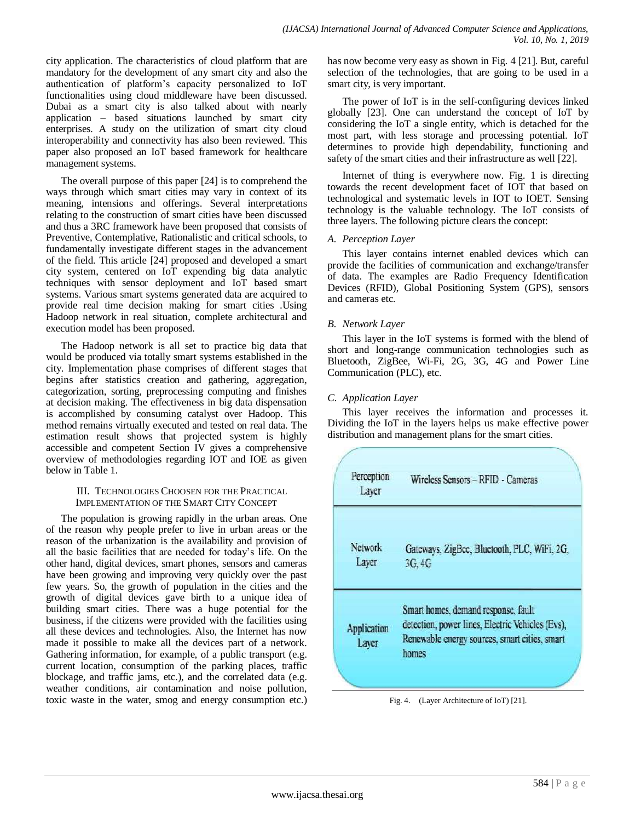city application. The characteristics of cloud platform that are mandatory for the development of any smart city and also the authentication of platform's capacity personalized to IoT functionalities using cloud middleware have been discussed. Dubai as a smart city is also talked about with nearly application – based situations launched by smart city enterprises. A study on the utilization of smart city cloud interoperability and connectivity has also been reviewed. This paper also proposed an IoT based framework for healthcare management systems.

The overall purpose of this paper [24] is to comprehend the ways through which smart cities may vary in context of its meaning, intensions and offerings. Several interpretations relating to the construction of smart cities have been discussed and thus a 3RC framework have been proposed that consists of Preventive, Contemplative, Rationalistic and critical schools, to fundamentally investigate different stages in the advancement of the field. This article [24] proposed and developed a smart city system, centered on IoT expending big data analytic techniques with sensor deployment and IoT based smart systems. Various smart systems generated data are acquired to provide real time decision making for smart cities .Using Hadoop network in real situation, complete architectural and execution model has been proposed.

The Hadoop network is all set to practice big data that would be produced via totally smart systems established in the city. Implementation phase comprises of different stages that begins after statistics creation and gathering, aggregation, categorization, sorting, preprocessing computing and finishes at decision making. The effectiveness in big data dispensation is accomplished by consuming catalyst over Hadoop. This method remains virtually executed and tested on real data. The estimation result shows that projected system is highly accessible and competent Section IV gives a comprehensive overview of methodologies regarding IOT and IOE as given below in Table 1.

## III. TECHNOLOGIES CHOOSEN FOR THE PRACTICAL IMPLEMENTATION OF THE SMART CITY CONCEPT

The population is growing rapidly in the urban areas. One of the reason why people prefer to live in urban areas or the reason of the urbanization is the availability and provision of all the basic facilities that are needed for today's life. On the other hand, digital devices, smart phones, sensors and cameras have been growing and improving very quickly over the past few years. So, the growth of population in the cities and the growth of digital devices gave birth to a unique idea of building smart cities. There was a huge potential for the business, if the citizens were provided with the facilities using all these devices and technologies. Also, the Internet has now made it possible to make all the devices part of a network. Gathering information, for example, of a public transport (e.g. current location, consumption of the parking places, traffic blockage, and traffic jams, etc.), and the correlated data (e.g. weather conditions, air contamination and noise pollution, toxic waste in the water, smog and energy consumption etc.)

has now become very easy as shown in Fig. 4 [21]. But, careful selection of the technologies, that are going to be used in a smart city, is very important.

The power of IoT is in the self-configuring devices linked globally [23]. One can understand the concept of IoT by considering the IoT a single entity, which is detached for the most part, with less storage and processing potential. IoT determines to provide high dependability, functioning and safety of the smart cities and their infrastructure as well [22].

Internet of thing is everywhere now. Fig. 1 is directing towards the recent development facet of IOT that based on technological and systematic levels in IOT to IOET. Sensing technology is the valuable technology. The IoT consists of three layers. The following picture clears the concept:

# *A. Perception Layer*

This layer contains internet enabled devices which can provide the facilities of communication and exchange/transfer of data. The examples are Radio Frequency Identification Devices (RFID), Global Positioning System (GPS), sensors and cameras etc.

# *B. Network Layer*

This layer in the IoT systems is formed with the blend of short and long-range communication technologies such as Bluetooth, ZigBee, Wi-Fi, 2G, 3G, 4G and Power Line Communication (PLC), etc.

# *C. Application Layer*

This layer receives the information and processes it. Dividing the IoT in the layers helps us make effective power distribution and management plans for the smart cities.



Fig. 4. (Layer Architecture of IoT) [21].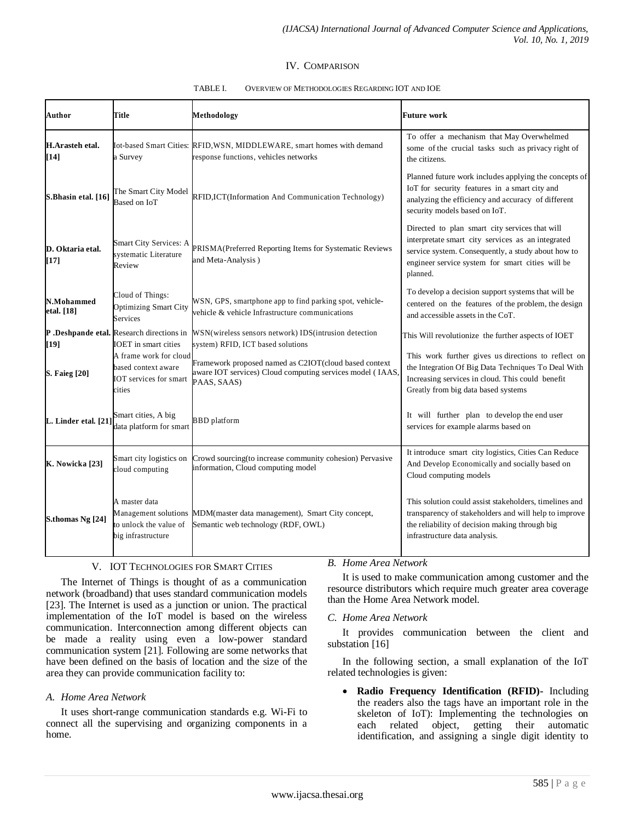## IV. COMPARISON

| TABLE I. | OVERVIEW OF METHODOLOGIES REGARDING IOT AND IOE |  |
|----------|-------------------------------------------------|--|
|          |                                                 |  |

| Author                     | Title                                                                                    | <b>Methodology</b>                                                                                                                | <b>Future work</b>                                                                                                                                                                                                        |
|----------------------------|------------------------------------------------------------------------------------------|-----------------------------------------------------------------------------------------------------------------------------------|---------------------------------------------------------------------------------------------------------------------------------------------------------------------------------------------------------------------------|
| H.Arasteh etal.<br>[14]    | a Survey                                                                                 | Iot-based Smart Cities: RFID, WSN, MIDDLEWARE, smart homes with demand<br>response functions, vehicles networks                   | To offer a mechanism that May Overwhelmed<br>some of the crucial tasks such as privacy right of<br>the citizens.                                                                                                          |
| S. Bhasin etal. [16]       | The Smart City Model<br>Based on IoT                                                     | RFID, ICT(Information And Communication Technology)                                                                               | Planned future work includes applying the concepts of<br>IoT for security features in a smart city and<br>analyzing the efficiency and accuracy of different<br>security models based on IoT.                             |
| D. Oktaria etal.<br>$[17]$ | Smart City Services: A<br>systematic Literature<br>Review                                | PRISMA(Preferred Reporting Items for Systematic Reviews<br>and Meta-Analysis)                                                     | Directed to plan smart city services that will<br>interpretate smart city services as an integrated<br>service system. Consequently, a study about how to<br>engineer service system for smart cities will be<br>planned. |
| N.Mohammed<br>etal. [18]   | Cloud of Things:<br>Optimizing Smart City<br><b>Services</b>                             | WSN, GPS, smartphone app to find parking spot, vehicle-<br>vehicle & vehicle Infrastructure communications                        | To develop a decision support systems that will be<br>centered on the features of the problem, the design<br>and accessible assets in the CoT.                                                                            |
| [19]                       | P.Deshpande etal. Research directions in<br><b>IOET</b> in smart cities                  | WSN(wireless sensors network) IDS(intrusion detection<br>system) RFID, ICT based solutions                                        | This Will revolutionize the further aspects of IOET                                                                                                                                                                       |
| <b>S. Faieg [20]</b>       | A frame work for cloud<br>based context aware<br><b>IOT</b> services for smart<br>cities | Framework proposed named as C2IOT(cloud based context<br>aware IOT services) Cloud computing services model (IAAS,<br>PAAS, SAAS) | This work further gives us directions to reflect on<br>the Integration Of Big Data Techniques To Deal With<br>Increasing services in cloud. This could benefit<br>Greatly from big data based systems                     |
| L. Linder etal. [21]       | Smart cities, A big<br>data platform for smart                                           | <b>BBD</b> platform                                                                                                               | It will further plan to develop the end user<br>services for example alarms based on                                                                                                                                      |
| K. Nowicka [23]            | cloud computing                                                                          | Smart city logistics on Crowd sourcing (to increase community cohesion) Pervasive<br>information, Cloud computing model           | It introduce smart city logistics, Cities Can Reduce<br>And Develop Economically and socially based on<br>Cloud computing models                                                                                          |
| S.thomas Ng [24]           | A master data<br>to unlock the value of<br>big infrastructure                            | Management solutions MDM(master data management), Smart City concept,<br>Semantic web technology (RDF, OWL)                       | This solution could assist stakeholders, timelines and<br>transparency of stakeholders and will help to improve<br>the reliability of decision making through big<br>infrastructure data analysis.                        |

# V. IOT TECHNOLOGIES FOR SMART CITIES

The Internet of Things is thought of as a communication network (broadband) that uses standard communication models [23]. The Internet is used as a junction or union. The practical implementation of the IoT model is based on the wireless communication. Interconnection among different objects can be made a reality using even a low-power standard communication system [21]. Following are some networks that have been defined on the basis of location and the size of the area they can provide communication facility to:

# *A. Home Area Network*

It uses short-range communication standards e.g. Wi-Fi to connect all the supervising and organizing components in a home.

# *B. Home Area Network*

It is used to make communication among customer and the resource distributors which require much greater area coverage than the Home Area Network model.

## *C. Home Area Network*

It provides communication between the client and substation [16]

In the following section, a small explanation of the IoT related technologies is given:

 **Radio Frequency Identification (RFID)-** Including the readers also the tags have an important role in the skeleton of IoT): Implementing the technologies on each related object, getting their automatic identification, and assigning a single digit identity to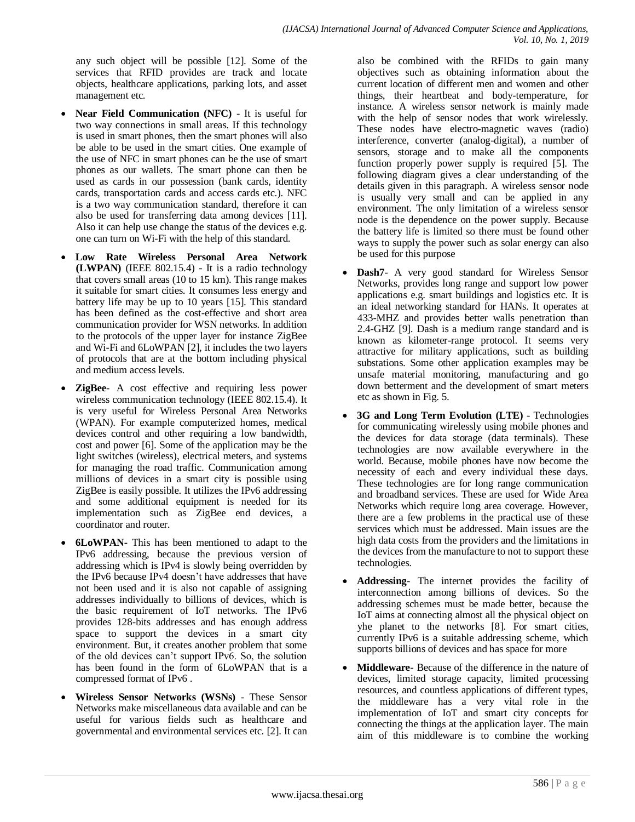any such object will be possible [12]. Some of the services that RFID provides are track and locate objects, healthcare applications, parking lots, and asset management etc.

- **Near Field Communication (NFC)**  It is useful for two way connections in small areas. If this technology is used in smart phones, then the smart phones will also be able to be used in the smart cities. One example of the use of NFC in smart phones can be the use of smart phones as our wallets. The smart phone can then be used as cards in our possession (bank cards, identity cards, transportation cards and access cards etc.). NFC is a two way communication standard, therefore it can also be used for transferring data among devices [11]. Also it can help use change the status of the devices e.g. one can turn on Wi-Fi with the help of this standard.
- **Low Rate Wireless Personal Area Network (LWPAN)** (IEEE 802.15.4) - It is a radio technology that covers small areas (10 to 15 km). This range makes it suitable for smart cities. It consumes less energy and battery life may be up to 10 years [15]. This standard has been defined as the cost-effective and short area communication provider for WSN networks. In addition to the protocols of the upper layer for instance ZigBee and Wi-Fi and 6LoWPAN [2], it includes the two layers of protocols that are at the bottom including physical and medium access levels.
- **ZigBee-** A cost effective and requiring less power wireless communication technology (IEEE 802.15.4). It is very useful for Wireless Personal Area Networks (WPAN). For example computerized homes, medical devices control and other requiring a low bandwidth, cost and power [6]. Some of the application may be the light switches (wireless), electrical meters, and systems for managing the road traffic. Communication among millions of devices in a smart city is possible using ZigBee is easily possible. It utilizes the IPv6 addressing and some additional equipment is needed for its implementation such as ZigBee end devices, a coordinator and router.
- **6LoWPAN-** This has been mentioned to adapt to the IPv6 addressing, because the previous version of addressing which is IPv4 is slowly being overridden by the IPv6 because IPv4 doesn't have addresses that have not been used and it is also not capable of assigning addresses individually to billions of devices, which is the basic requirement of IoT networks. The IPv6 provides 128-bits addresses and has enough address space to support the devices in a smart city environment. But, it creates another problem that some of the old devices can't support IPv6. So, the solution has been found in the form of 6LoWPAN that is a compressed format of IPv6 .
- **Wireless Sensor Networks (WSNs)** These Sensor Networks make miscellaneous data available and can be useful for various fields such as healthcare and governmental and environmental services etc. [2]. It can

also be combined with the RFIDs to gain many objectives such as obtaining information about the current location of different men and women and other things, their heartbeat and body-temperature, for instance. A wireless sensor network is mainly made with the help of sensor nodes that work wirelessly. These nodes have electro-magnetic waves (radio) interference, converter (analog-digital), a number of sensors, storage and to make all the components function properly power supply is required [5]. The following diagram gives a clear understanding of the details given in this paragraph. A wireless sensor node is usually very small and can be applied in any environment. The only limitation of a wireless sensor node is the dependence on the power supply. Because the battery life is limited so there must be found other ways to supply the power such as solar energy can also be used for this purpose

- **Dash7** A very good standard for Wireless Sensor Networks, provides long range and support low power applications e.g. smart buildings and logistics etc. It is an ideal networking standard for HANs. It operates at 433-MHZ and provides better walls penetration than 2.4-GHZ [9]. Dash is a medium range standard and is known as kilometer-range protocol. It seems very attractive for military applications, such as building substations. Some other application examples may be unsafe material monitoring, manufacturing and go down betterment and the development of smart meters etc as shown in Fig. 5.
- **3G and Long Term Evolution (LTE)** Technologies for communicating wirelessly using mobile phones and the devices for data storage (data terminals). These technologies are now available everywhere in the world. Because, mobile phones have now become the necessity of each and every individual these days. These technologies are for long range communication and broadband services. These are used for Wide Area Networks which require long area coverage. However, there are a few problems in the practical use of these services which must be addressed. Main issues are the high data costs from the providers and the limitations in the devices from the manufacture to not to support these technologies.
- **Addressing** The internet provides the facility of interconnection among billions of devices. So the addressing schemes must be made better, because the IoT aims at connecting almost all the physical object on yhe planet to the networks [8]. For smart cities, currently IPv6 is a suitable addressing scheme, which supports billions of devices and has space for more
- **Middleware-** Because of the difference in the nature of devices, limited storage capacity, limited processing resources, and countless applications of different types, the middleware has a very vital role in the implementation of IoT and smart city concepts for connecting the things at the application layer. The main aim of this middleware is to combine the working